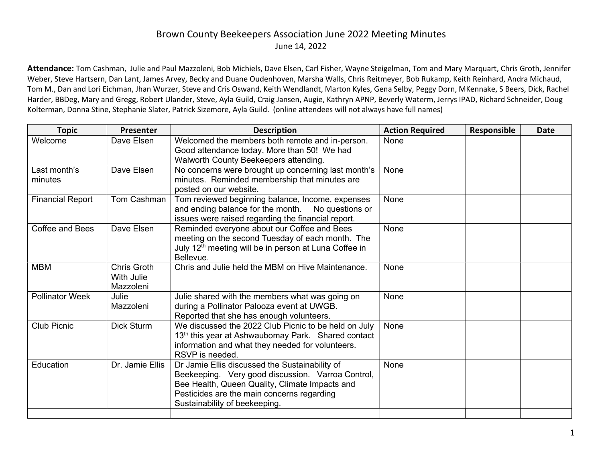## Brown County Beekeepers Association June 2022 Meeting Minutes June 14, 2022

Attendance: Tom Cashman, Julie and Paul Mazzoleni, Bob Michiels, Dave Elsen, Carl Fisher, Wayne Steigelman, Tom and Mary Marquart, Chris Groth, Jennifer Weber, Steve Hartsern, Dan Lant, James Arvey, Becky and Duane Oudenhoven, Marsha Walls, Chris Reitmeyer, Bob Rukamp, Keith Reinhard, Andra Michaud, Tom M., Dan and Lori Eichman, Jhan Wurzer, Steve and Cris Oswand, Keith Wendlandt, Marton Kyles, Gena Selby, Peggy Dorn, MKennake, S Beers, Dick, Rachel Harder, BBDeg, Mary and Gregg, Robert Ulander, Steve, Ayla Guild, Craig Jansen, Augie, Kathryn APNP, Beverly Waterm, Jerrys IPAD, Richard Schneider, Doug Kolterman, Donna Stine, Stephanie Slater, Patrick Sizemore, Ayla Guild. (online attendees will not always have full names)

| <b>Topic</b>            | Presenter                                     | <b>Description</b>                                                                                                                                                                                                                   | <b>Action Required</b> | Responsible | <b>Date</b> |
|-------------------------|-----------------------------------------------|--------------------------------------------------------------------------------------------------------------------------------------------------------------------------------------------------------------------------------------|------------------------|-------------|-------------|
| Welcome                 | Dave Elsen                                    | Welcomed the members both remote and in-person.<br>Good attendance today, More than 50! We had<br>Walworth County Beekeepers attending.                                                                                              | None                   |             |             |
| Last month's<br>minutes | Dave Elsen                                    | No concerns were brought up concerning last month's<br>minutes. Reminded membership that minutes are<br>posted on our website.                                                                                                       | None                   |             |             |
| <b>Financial Report</b> | Tom Cashman                                   | Tom reviewed beginning balance, Income, expenses<br>and ending balance for the month. No questions or<br>issues were raised regarding the financial report.                                                                          | None                   |             |             |
| Coffee and Bees         | Dave Elsen                                    | Reminded everyone about our Coffee and Bees<br>meeting on the second Tuesday of each month. The<br>July 12 <sup>th</sup> meeting will be in person at Luna Coffee in<br>Bellevue.                                                    | None                   |             |             |
| <b>MBM</b>              | Chris Groth<br><b>With Julie</b><br>Mazzoleni | Chris and Julie held the MBM on Hive Maintenance.                                                                                                                                                                                    | None                   |             |             |
| <b>Pollinator Week</b>  | Julie<br>Mazzoleni                            | Julie shared with the members what was going on<br>during a Pollinator Palooza event at UWGB.<br>Reported that she has enough volunteers.                                                                                            | None                   |             |             |
| <b>Club Picnic</b>      | <b>Dick Sturm</b>                             | We discussed the 2022 Club Picnic to be held on July<br>13 <sup>th</sup> this year at Ashwaubomay Park. Shared contact<br>information and what they needed for volunteers.<br>RSVP is needed.                                        | None                   |             |             |
| Education               | Dr. Jamie Ellis                               | Dr Jamie Ellis discussed the Sustainability of<br>Beekeeping. Very good discussion. Varroa Control,<br>Bee Health, Queen Quality, Climate Impacts and<br>Pesticides are the main concerns regarding<br>Sustainability of beekeeping. | None                   |             |             |